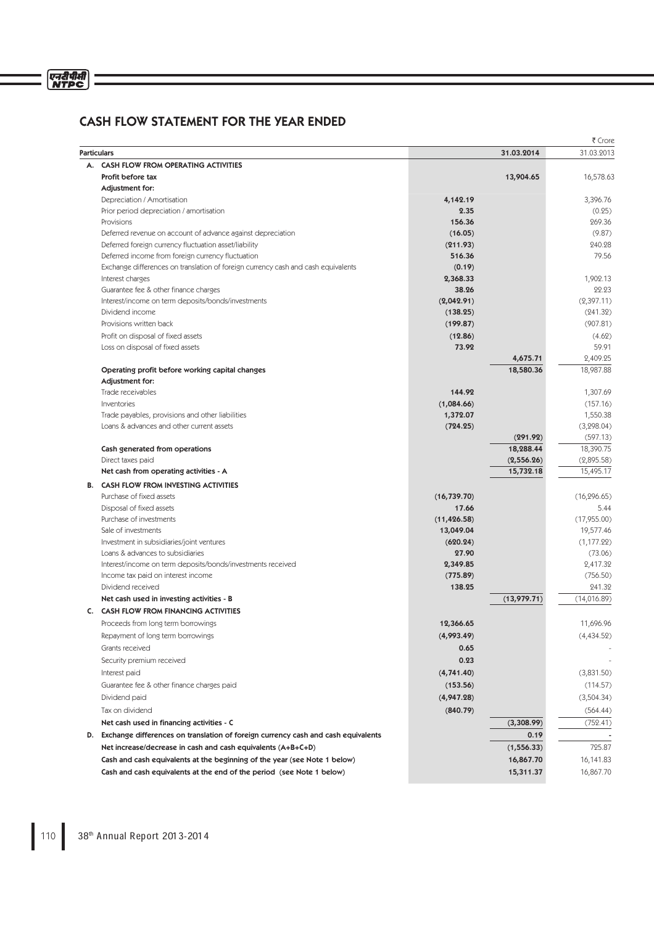## CASH FLOW STATEMENT FOR THE YEAR ENDED

|                    |                                                                                      |              |             | ₹ Crore      |
|--------------------|--------------------------------------------------------------------------------------|--------------|-------------|--------------|
| <b>Particulars</b> |                                                                                      |              | 31.03.2014  | 31.03.2013   |
| А.                 | <b>CASH FLOW FROM OPERATING ACTIVITIES</b>                                           |              |             |              |
|                    | Profit before tax                                                                    |              | 13,904.65   | 16,578.63    |
|                    | Adjustment for:                                                                      |              |             |              |
|                    | Depreciation / Amortisation                                                          | 4,142.19     |             | 3,396.76     |
|                    | Prior period depreciation / amortisation                                             | 2.35         |             | (0.25)       |
|                    | Provisions                                                                           | 156.36       |             | 269.36       |
|                    | Deferred revenue on account of advance against depreciation                          | (16.05)      |             | (9.87)       |
|                    | Deferred foreign currency fluctuation asset/liability                                | (211.93)     |             | 240.28       |
|                    | Deferred income from foreign currency fluctuation                                    | 516.36       |             | 79.56        |
|                    | Exchange differences on translation of foreign currency cash and cash equivalents    | (0.19)       |             |              |
|                    | Interest charges                                                                     | 2,368.33     |             | 1,902.13     |
|                    | Guarantee fee & other finance charges                                                | 38.26        |             | 22.23        |
|                    | Interest/income on term deposits/bonds/investments                                   | (2,042.91)   |             | (2,397.11)   |
|                    | Dividend income                                                                      | (138.25)     |             | (241.32)     |
|                    | Provisions written back                                                              | (199.87)     |             | (907.81)     |
|                    | Profit on disposal of fixed assets                                                   | (12.86)      |             | (4.62)       |
|                    | Loss on disposal of fixed assets                                                     | 73.92        |             | 59.91        |
|                    |                                                                                      |              | 4,675.71    | 2,409.25     |
|                    | Operating profit before working capital changes                                      |              | 18,580.36   | 18,987.88    |
|                    | Adjustment for:                                                                      |              |             |              |
|                    | Trade receivables                                                                    | 144.92       |             | 1,307.69     |
|                    | Inventories                                                                          | (1,084.66)   |             | (157.16)     |
|                    | Trade payables, provisions and other liabilities                                     | 1,372.07     |             | 1,550.38     |
|                    | Loans & advances and other current assets                                            | (724.25)     |             | (3, 298.04)  |
|                    |                                                                                      |              | (291.92)    | (597.13)     |
|                    | Cash generated from operations                                                       |              | 18,288.44   | 18,390.75    |
|                    | Direct taxes paid                                                                    |              | (2,556.26)  | (2,895.58)   |
|                    | Net cash from operating activities - A                                               |              | 15,732.18   | 15,495.17    |
|                    | <b>B. CASH FLOW FROM INVESTING ACTIVITIES</b>                                        |              |             |              |
|                    | Purchase of fixed assets                                                             | (16, 739.70) |             | (16, 296.65) |
|                    | Disposal of fixed assets                                                             | 17.66        |             | 5.44         |
|                    | Purchase of investments                                                              | (11, 426.58) |             | (17,955.00)  |
|                    | Sale of investments                                                                  | 13,049.04    |             | 19,577.46    |
|                    | Investment in subsidiaries/joint ventures                                            | (620.24)     |             | (1, 177.22)  |
|                    | Loans & advances to subsidiaries                                                     | 27.90        |             | (73.06)      |
|                    | Interest/income on term deposits/bonds/investments received                          | 2,349.85     |             | 2,417.32     |
|                    | Income tax paid on interest income                                                   | (775.89)     |             | (756.50)     |
|                    | Dividend received                                                                    | 138.25       |             | 241.32       |
|                    | Net cash used in investing activities - B                                            |              | (13,979.71) | (14,016.89)  |
|                    | C. CASH FLOW FROM FINANCING ACTIVITIES                                               |              |             |              |
|                    | Proceeds from long term borrowings                                                   | 12,366.65    |             | 11,696.96    |
|                    | Repayment of long term borrowings                                                    | (4,993.49)   |             | (4,434.52)   |
|                    | Grants received                                                                      | 0.65         |             |              |
|                    |                                                                                      |              |             |              |
|                    | Security premium received                                                            | 0.23         |             |              |
|                    | Interest paid                                                                        | (4,741.40)   |             | (3,831.50)   |
|                    | Guarantee fee & other finance charges paid                                           | (153.56)     |             | (114.57)     |
|                    | Dividend paid                                                                        | (4,947.28)   |             | (3,504.34)   |
|                    | Tax on dividend                                                                      | (840.79)     |             | (564.44)     |
|                    | Net cash used in financing activities - C                                            |              | (3,308.99)  | (752.41)     |
|                    | D. Exchange differences on translation of foreign currency cash and cash equivalents |              | 0.19        |              |
|                    | Net increase/decrease in cash and cash equivalents (A+B+C+D)                         |              | (1, 556.33) | 725.87       |
|                    | Cash and cash equivalents at the beginning of the year (see Note 1 below)            |              | 16,867.70   | 16,141.83    |
|                    | Cash and cash equivalents at the end of the period (see Note 1 below)                |              | 15,311.37   | 16,867.70    |
|                    |                                                                                      |              |             |              |